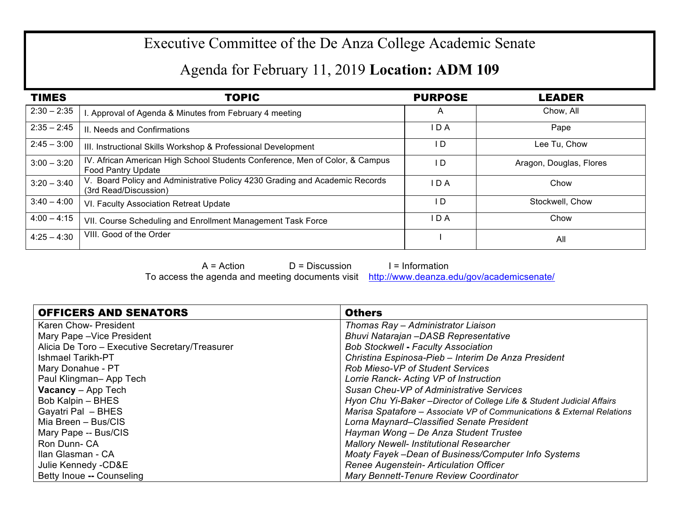## Executive Committee of the De Anza College Academic Senate

## Agenda for February 11, 2019 **Location: ADM 109**

| <b>TIMES</b>  | <b>TOPIC</b>                                                                                              | <b>PURPOSE</b> | <b>LEADER</b>           |
|---------------|-----------------------------------------------------------------------------------------------------------|----------------|-------------------------|
| $2:30 - 2:35$ | . Approval of Agenda & Minutes from February 4 meeting                                                    | $\overline{A}$ | Chow, All               |
| $2:35 - 2:45$ | II. Needs and Confirmations                                                                               | IDA            | Pape                    |
| $2:45 - 3:00$ | III. Instructional Skills Workshop & Professional Development                                             | I D            | Lee Tu, Chow            |
| $3:00 - 3:20$ | IV. African American High School Students Conference, Men of Color, & Campus<br><b>Food Pantry Update</b> | I D            | Aragon, Douglas, Flores |
| $3:20 - 3:40$ | V. Board Policy and Administrative Policy 4230 Grading and Academic Records<br>(3rd Read/Discussion)      | IDA            | Chow                    |
| $3:40 - 4:00$ | VI. Faculty Association Retreat Update                                                                    | I D            | Stockwell, Chow         |
| $4:00 - 4:15$ | VII. Course Scheduling and Enrollment Management Task Force                                               | IDA            | Chow                    |
| $4:25 - 4:30$ | VIII. Good of the Order                                                                                   |                | All                     |

 $A = Action$   $D = Discussion$  I = Information

To access the agenda and meeting documents visit http://www.deanza.edu/gov/academicsenate/

| <b>OFFICERS AND SENATORS</b>                   | <b>Others</b>                                                           |  |
|------------------------------------------------|-------------------------------------------------------------------------|--|
| Karen Chow- President                          | Thomas Ray - Administrator Liaison                                      |  |
| Mary Pape - Vice President                     | Bhuvi Natarajan -DASB Representative                                    |  |
| Alicia De Toro - Executive Secretary/Treasurer | <b>Bob Stockwell - Faculty Association</b>                              |  |
| <b>Ishmael Tarikh-PT</b>                       | Christina Espinosa-Pieb - Interim De Anza President                     |  |
| Mary Donahue - PT                              | <b>Rob Mieso-VP of Student Services</b>                                 |  |
| Paul Klingman-App Tech                         | Lorrie Ranck- Acting VP of Instruction                                  |  |
| <b>Vacancy</b> - App Tech                      | Susan Cheu-VP of Administrative Services                                |  |
| Bob Kalpin - BHES                              | Hyon Chu Yi-Baker - Director of College Life & Student Judicial Affairs |  |
| Gayatri Pal - BHES                             | Marisa Spatafore - Associate VP of Communications & External Relations  |  |
| Mia Breen - Bus/CIS                            | Lorna Maynard–Classified Senate President                               |  |
| Mary Pape -- Bus/CIS                           | Hayman Wong - De Anza Student Trustee                                   |  |
| Ron Dunn-CA                                    | <b>Mallory Newell- Institutional Researcher</b>                         |  |
| Ilan Glasman - CA                              | Moaty Fayek -Dean of Business/Computer Info Systems                     |  |
| Julie Kennedy - CD&E                           | Renee Augenstein- Articulation Officer                                  |  |
| Betty Inoue -- Counseling                      | Mary Bennett-Tenure Review Coordinator                                  |  |